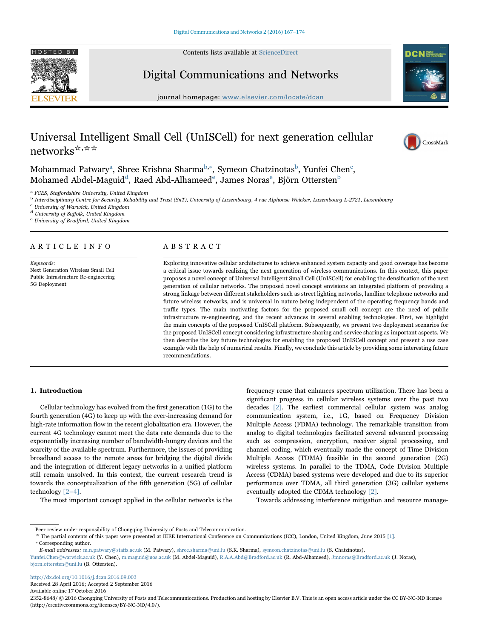HOSTED BY Contents lists available at [ScienceDirect](http://www.sciencedirect.com/science/journal/23528648)



Digital Communications and Networks



# **DCN**



# Universal Intelligent Small Cell (UnISCell) for next generation cellular networks☆,☆☆

CrossMark

Moh[a](#page-0-0)mmad Patwary<sup>a</sup>, Shree Krishna Sharma $^{\rm b, *}$  $^{\rm b, *}$  $^{\rm b, *}$ , Symeon Chatzinotas $^{\rm b}$ , Yunfei Chen $^{\rm c}$  $^{\rm c}$  $^{\rm c}$ , Moham[e](#page-0-5)d Abdel-Maguid $^{\rm d}$ , Raed Abd-Alhameed $^{\rm e}$ , James Noras $^{\rm e}$ , Björn Ottersten $^{\rm b}$ 

<span id="page-0-1"></span>

<span id="page-0-0"></span><sup>a</sup> FCES, Staffordshire University, United Kingdom<br><sup>b</sup> Interdisciplinary Centre for Security, Reliability and Trust (SnT), University of Luxembourg, 4 rue Alphonse Weicker, Luxembourg L-2721, Luxembourg

<span id="page-0-3"></span><sup>c</sup> University of Warwick, United Kingdom

<span id="page-0-5"></span>

<span id="page-0-4"></span> $d$  University of Suffolk, United Kingdom<br>e University of Bradford, United Kingdom

# ARTICLE INFO

Keywords: Next Generation Wireless Small Cell Public Infrastructure Re-engineering 5G Deployment

# ABSTRACT

Exploring innovative cellular architectures to achieve enhanced system capacity and good coverage has become a critical issue towards realizing the next generation of wireless communications. In this context, this paper proposes a novel concept of Universal Intelligent Small Cell (UnISCell) for enabling the densification of the next generation of cellular networks. The proposed novel concept envisions an integrated platform of providing a strong linkage between different stakeholders such as street lighting networks, landline telephone networks and future wireless networks, and is universal in nature being independent of the operating frequency bands and traffic types. The main motivating factors for the proposed small cell concept are the need of public infrastructure re-engineering, and the recent advances in several enabling technologies. First, we highlight the main concepts of the proposed UnISCell platform. Subsequently, we present two deployment scenarios for the proposed UnISCell concept considering infrastructure sharing and service sharing as important aspects. We then describe the key future technologies for enabling the proposed UnISCell concept and present a use case example with the help of numerical results. Finally, we conclude this article by providing some interesting future recommendations.

# 1. Introduction

Cellular technology has evolved from the first generation (1G) to the fourth generation (4G) to keep up with the ever-increasing demand for high-rate information flow in the recent globalization era. However, the current 4G technology cannot meet the data rate demands due to the exponentially increasing number of bandwidth-hungry devices and the scarcity of the available spectrum. Furthermore, the issues of providing broadband access to the remote areas for bridging the digital divide and the integration of different legacy networks in a unified platform still remain unsolved. In this context, the current research trend is towards the conceptualization of the fifth generation (5G) of cellular technology [2–[4\].](#page-7-0)

The most important concept applied in the cellular networks is the

frequency reuse that enhances spectrum utilization. There has been a significant progress in cellular wireless systems over the past two decades [\[2\]](#page-7-0). The earliest commercial cellular system was analog communication system, i.e., 1G, based on Frequency Division Multiple Access (FDMA) technology. The remarkable transition from analog to digital technologies facilitated several advanced processing such as compression, encryption, receiver signal processing, and channel coding, which eventually made the concept of Time Division Multiple Access (TDMA) feasible in the second generation (2G) wireless systems. In parallel to the TDMA, Code Division Multiple Access (CDMA) based systems were developed and due to its superior performance over TDMA, all third generation (3G) cellular systems eventually adopted the CDMA technology [\[2\].](#page-7-0)

Towards addressing interference mitigation and resource manage-

<http://dx.doi.org/10.1016/j.dcan.2016.09.003> Received 28 April 2016; Accepted 2 September 2016

Available online 17 October 2016

Peer review under responsibility of Chongqing University of Posts and Telecommunication.

<span id="page-0-2"></span><sup>☆</sup> The partial contents of this paper were presented at IEEE International Conference on Communications (ICC), London, United Kingdom, June 2015 [\[1\]](#page-7-1). ⁎ Corresponding author.

E-mail addresses: m.n.patwary@staffs.ac.uk (M. Patwary), shree.sharma@uni.lu (S.K. Sharma), symeon.chatzinotas@uni.lu (S. Chatzinotas),

Yunfei.Chen@warwick.ac.uk (Y. Chen), m.maguid@uos.ac.uk (M. Abdel-Maguid), R.A.A.Abd@Bradford.ac.uk (R. Abd-Alhameed), Jmnoras@Bradford.ac.uk (J. Noras), bjorn.ottersten@uni.lu (B. Ottersten).

<sup>2352-8648/ © 2016</sup> Chongqing University of Posts and Telecommuniocations. Production and hosting by Elsevier B.V. This is an open access article under the CC BY-NC-ND license (http://creativecommons.org/licenses/BY-NC-ND/4.0/).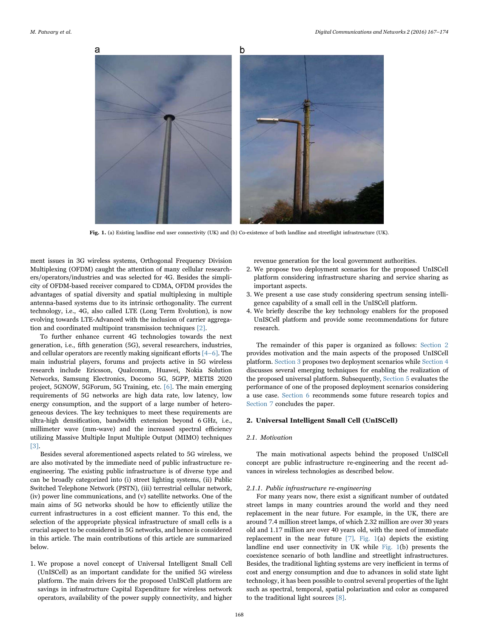<span id="page-1-1"></span>

Fig. 1. (a) Existing landline end user connectivity (UK) and (b) Co-existence of both landline and streetlight infrastructure (UK).

ment issues in 3G wireless systems, Orthogonal Frequency Division Multiplexing (OFDM) caught the attention of many cellular researchers/operators/industries and was selected for 4G. Besides the simplicity of OFDM-based receiver compared to CDMA, OFDM provides the advantages of spatial diversity and spatial multiplexing in multiple antenna-based systems due to its intrinsic orthogonality. The current technology, i.e., 4G, also called LTE (Long Term Evolution), is now evolving towards LTE-Advanced with the inclusion of carrier aggregation and coordinated multipoint transmission techniques [\[2\]](#page-7-0).

To further enhance current 4G technologies towards the next generation, i.e., fifth generation (5G), several researchers, industries, and cellular operators are recently making significant efforts [\[4](#page-7-2)–6]. The main industrial players, forums and projects active in 5G wireless research include Ericsson, Qualcomm, Huawei, Nokia Solution Networks, Samsung Electronics, Docomo 5G, 5GPP, METIS 2020 project, 5GNOW, 5GForum, 5G Training, etc. [\[6\]](#page-7-3). The main emerging requirements of 5G networks are high data rate, low latency, low energy consumption, and the support of a large number of heterogeneous devices. The key techniques to meet these requirements are ultra-high densification, bandwidth extension beyond 6 GHz, i.e., millimeter wave (mm-wave) and the increased spectral efficiency utilizing Massive Multiple Input Multiple Output (MIMO) techniques [\[3\]](#page-7-4).

Besides several aforementioned aspects related to 5G wireless, we are also motivated by the immediate need of public infrastructure reengineering. The existing public infrastructure is of diverse type and can be broadly categorized into (i) street lighting systems, (ii) Public Switched Telephone Network (PSTN), (iii) terrestrial cellular network, (iv) power line communications, and (v) satellite networks. One of the main aims of 5G networks should be how to efficiently utilize the current infrastructures in a cost efficient manner. To this end, the selection of the appropriate physical infrastructure of small cells is a crucial aspect to be considered in 5G networks, and hence is considered in this article. The main contributions of this article are summarized below.

1. We propose a novel concept of Universal Intelligent Small Cell (UnISCell) as an important candidate for the unified 5G wireless platform. The main drivers for the proposed UnISCell platform are savings in infrastructure Capital Expenditure for wireless network operators, availability of the power supply connectivity, and higher

revenue generation for the local government authorities.

- 2. We propose two deployment scenarios for the proposed UnISCell platform considering infrastructure sharing and service sharing as important aspects.
- 3. We present a use case study considering spectrum sensing intelligence capability of a small cell in the UnISCell platform.
- 4. We briefly describe the key technology enablers for the proposed UnISCell platform and provide some recommendations for future research.

The remainder of this paper is organized as follows: [Section 2](#page-1-0) provides motivation and the main aspects of the proposed UnISCell platform. [Section 3](#page-3-0) proposes two deployment scenarios while [Section 4](#page-3-1) discusses several emerging techniques for enabling the realization of the proposed universal platform. Subsequently, [Section 5](#page-5-0) evaluates the performance of one of the proposed deployment scenarios considering a use case. [Section 6](#page-5-1) recommends some future research topics and [Section 7](#page-6-0) concludes the paper.

#### <span id="page-1-0"></span>2. Universal Intelligent Small Cell (UnISCell)

#### 2.1. Motivation

The main motivational aspects behind the proposed UnISCell concept are public infrastructure re-engineering and the recent advances in wireless technologies as described below.

#### <span id="page-1-2"></span>2.1.1. Public infrastructure re-engineering

For many years now, there exist a significant number of outdated street lamps in many countries around the world and they need replacement in the near future. For example, in the UK, there are around 7.4 million street lamps, of which 2.32 million are over 30 years old and 1.17 million are over 40 years old, with the need of immediate replacement in the near future [\[7\]](#page-7-5). [Fig. 1\(](#page-1-1)a) depicts the existing landline end user connectivity in UK while [Fig. 1](#page-1-1)(b) presents the coexistence scenario of both landline and streetlight infrastructures. Besides, the traditional lighting systems are very inefficient in terms of cost and energy consumption and due to advances in solid state light technology, it has been possible to control several properties of the light such as spectral, temporal, spatial polarization and color as compared to the traditional light sources [\[8\].](#page-7-6)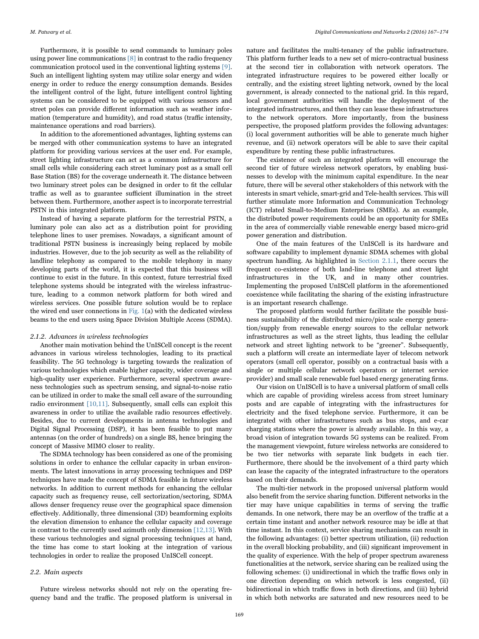Furthermore, it is possible to send commands to luminary poles using power line communications [\[8\]](#page-7-6) in contrast to the radio frequency communication protocol used in the conventional lighting systems [\[9\].](#page-7-7) Such an intelligent lighting system may utilize solar energy and widen energy in order to reduce the energy consumption demands. Besides the intelligent control of the light, future intelligent control lighting systems can be considered to be equipped with various sensors and street poles can provide different information such as weather information (temperature and humidity), and road status (traffic intensity, maintenance operations and road barriers).

In addition to the aforementioned advantages, lighting systems can be merged with other communication systems to have an integrated platform for providing various services at the user end. For example, street lighting infrastructure can act as a common infrastructure for small cells while considering each street luminary post as a small cell Base Station (BS) for the coverage underneath it. The distance between two luminary street poles can be designed in order to fit the cellular traffic as well as to guarantee sufficient illumination in the street between them. Furthermore, another aspect is to incorporate terrestrial PSTN in this integrated platform.

Instead of having a separate platform for the terrestrial PSTN, a luminary pole can also act as a distribution point for providing telephone lines to user premises. Nowadays, a significant amount of traditional PSTN business is increasingly being replaced by mobile industries. However, due to the job security as well as the reliability of landline telephony as compared to the mobile telephony in many developing parts of the world, it is expected that this business will continue to exist in the future. In this context, future terrestrial fixed telephone systems should be integrated with the wireless infrastructure, leading to a common network platform for both wired and wireless services. One possible future solution would be to replace the wired end user connections in Fig.  $1(a)$  with the dedicated wireless beams to the end users using Space Division Multiple Access (SDMA).

#### 2.1.2. Advances in wireless technologies

Another main motivation behind the UnISCell concept is the recent advances in various wireless technologies, leading to its practical feasibility. The 5G technology is targeting towards the realization of various technologies which enable higher capacity, wider coverage and high-quality user experience. Furthermore, several spectrum awareness technologies such as spectrum sensing, and signal-to-noise ratio can be utilized in order to make the small cell aware of the surrounding radio environment [\[10,11\].](#page-7-8) Subsequently, small cells can exploit this awareness in order to utilize the available radio resources effectively. Besides, due to current developments in antenna technologies and Digital Signal Processing (DSP), it has been feasible to put many antennas (on the order of hundreds) on a single BS, hence bringing the concept of Massive MIMO closer to reality.

The SDMA technology has been considered as one of the promising solutions in order to enhance the cellular capacity in urban environments. The latest innovations in array processing techniques and DSP techniques have made the concept of SDMA feasible in future wireless networks. In addition to current methods for enhancing the cellular capacity such as frequency reuse, cell sectorization/sectoring, SDMA allows denser frequency reuse over the geographical space dimension effectively. Additionally, three dimensional (3D) beamforming exploits the elevation dimension to enhance the cellular capacity and coverage in contrast to the currently used azimuth only dimension [\[12,13\].](#page-7-9) With these various technologies and signal processing techniques at hand, the time has come to start looking at the integration of various technologies in order to realize the proposed UnISCell concept.

#### 2.2. Main aspects

Future wireless networks should not rely on the operating frequency band and the traffic. The proposed platform is universal in

nature and facilitates the multi-tenancy of the public infrastructure. This platform further leads to a new set of micro-contractual business at the second tier in collaboration with network operators. The integrated infrastructure requires to be powered either locally or centrally, and the existing street lighting network, owned by the local government, is already connected to the national grid. In this regard, local government authorities will handle the deployment of the integrated infrastructures, and then they can lease these infrastructures to the network operators. More importantly, from the business perspective, the proposed platform provides the following advantages: (i) local government authorities will be able to generate much higher revenue, and (ii) network operators will be able to save their capital expenditure by renting these public infrastructures.

The existence of such an integrated platform will encourage the second tier of future wireless network operators, by enabling businesses to develop with the minimum capital expenditure. In the near future, there will be several other stakeholders of this network with the interests in smart vehicle, smart-grid and Tele-health services. This will further stimulate more Information and Communication Technology (ICT) related Small-to-Medium Enterprises (SMEs). As an example, the distributed power requirements could be an opportunity for SMEs in the area of commercially viable renewable energy based micro-grid power generation and distribution.

One of the main features of the UnISCell is its hardware and software capability to implement dynamic SDMA schemes with global spectrum handling. As highlighted in [Section 2.1.1](#page-1-2), there occurs the frequent co-existence of both land-line telephone and street light infrastructures in the UK, and in many other countries. Implementing the proposed UnISCell platform in the aforementioned coexistence while facilitating the sharing of the existing infrastructure is an important research challenge.

The proposed platform would further facilitate the possible business sustainability of the distributed micro/pico scale energy generation/supply from renewable energy sources to the cellular network infrastructures as well as the street lights, thus leading the cellular network and street lighting network to be "greener". Subsequently, such a platform will create an intermediate layer of telecom network operators (small cell operator, possibly on a contractual basis with a single or multiple cellular network operators or internet service provider) and small scale renewable fuel based energy generating firms.

Our vision on UnISCell is to have a universal platform of small cells which are capable of providing wireless access from street luminary posts and are capable of integrating with the infrastructures for electricity and the fixed telephone service. Furthermore, it can be integrated with other infrastructures such as bus stops, and e-car charging stations where the power is already available. In this way, a broad vision of integration towards 5G systems can be realized. From the management viewpoint, future wireless networks are considered to be two tier networks with separate link budgets in each tier. Furthermore, there should be the involvement of a third party which can lease the capacity of the integrated infrastructure to the operators based on their demands.

The multi-tier network in the proposed universal platform would also benefit from the service sharing function. Different networks in the tier may have unique capabilities in terms of serving the traffic demands. In one network, there may be an overflow of the traffic at a certain time instant and another network resource may be idle at that time instant. In this context, service sharing mechanisms can result in the following advantages: (i) better spectrum utilization, (ii) reduction in the overall blocking probability, and (iii) significant improvement in the quality of experience. With the help of proper spectrum awareness functionalities at the network, service sharing can be realized using the following schemes: (i) unidirectional in which the traffic flows only in one direction depending on which network is less congested, (ii) bidirectional in which traffic flows in both directions, and (iii) hybrid in which both networks are saturated and new resources need to be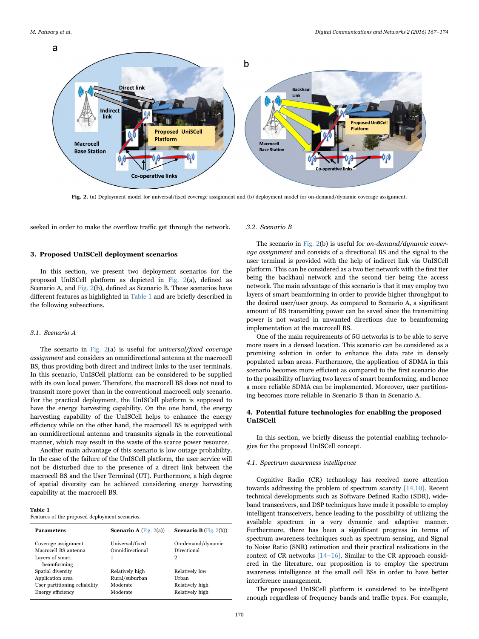<span id="page-3-2"></span>

Fig. 2. (a) Deployment model for universal/fixed coverage assignment and (b) deployment model for on-demand/dynamic coverage assignment.

seeked in order to make the overflow traffic get through the network.

## <span id="page-3-0"></span>3. Proposed UnISCell deployment scenarios

In this section, we present two deployment scenarios for the proposed UnISCell platform as depicted in [Fig. 2](#page-3-2)(a), defined as Scenario A, and [Fig. 2\(](#page-3-2)b), defined as Scenario B. These scenarios have different features as highlighted in [Table 1](#page-3-3) and are briefly described in the following subsections.

# 3.1. Scenario A

The scenario in [Fig. 2](#page-3-2)(a) is useful for universal/fixed coverage assignment and considers an omnidirectional antenna at the macrocell BS, thus providing both direct and indirect links to the user terminals. In this scenario, UnISCell platform can be considered to be supplied with its own local power. Therefore, the macrocell BS does not need to transmit more power than in the conventional macrocell only scenario. For the practical deployment, the UnISCell platform is supposed to have the energy harvesting capability. On the one hand, the energy harvesting capability of the UnISCell helps to enhance the energy efficiency while on the other hand, the macrocell BS is equipped with an omnidirectional antenna and transmits signals in the conventional manner, which may result in the waste of the scarce power resource.

Another main advantage of this scenario is low outage probability. In the case of the failure of the UnISCell platform, the user service will not be disturbed due to the presence of a direct link between the macrocell BS and the User Terminal (UT). Furthermore, a high degree of spatial diversity can be achieved considering energy harvesting capability at the macrocell BS.

# <span id="page-3-3"></span>Table 1

Features of the proposed deployment scenarios.

| <b>Parameters</b>             | <b>Scenario A</b> (Fig. $2(a)$ ) | <b>Scenario B</b> (Fig. $2(b)$ ) |
|-------------------------------|----------------------------------|----------------------------------|
| Coverage assignment           | Universal/fixed                  | On-demand/dynamic                |
| Macrocell BS antenna          | Omnidirectional                  | Directional                      |
| Layers of smart               | 1                                | 2                                |
| beamforming                   |                                  |                                  |
| Spatial diversity             | Relatively high                  | Relatively low                   |
| Application area              | Rural/suburban                   | Urban                            |
| User partitioning reliability | Moderate                         | Relatively high                  |
| Energy efficiency             | Moderate                         | Relatively high                  |
|                               |                                  |                                  |

3.2. Scenario B

The scenario in [Fig. 2\(](#page-3-2)b) is useful for on-demand/dynamic coverage assignment and consists of a directional BS and the signal to the user terminal is provided with the help of indirect link via UnISCell platform. This can be considered as a two tier network with the first tier being the backhaul network and the second tier being the access network. The main advantage of this scenario is that it may employ two layers of smart beamforming in order to provide higher throughput to the desired user/user group. As compared to Scenario A, a significant amount of BS transmitting power can be saved since the transmitting power is not wasted in unwanted directions due to beamforming implementation at the macrocell BS.

One of the main requirements of 5G networks is to be able to serve more users in a densed location. This scenario can be considered as a promising solution in order to enhance the data rate in densely populated urban areas. Furthermore, the application of SDMA in this scenario becomes more efficient as compared to the first scenario due to the possibility of having two layers of smart beamforming, and hence a more reliable SDMA can be implemented. Moreover, user partitioning becomes more reliable in Scenario B than in Scenario A.

# <span id="page-3-1"></span>4. Potential future technologies for enabling the proposed UnISCell

In this section, we briefly discuss the potential enabling technologies for the proposed UnISCell concept.

#### 4.1. Spectrum awareness intelligence

Cognitive Radio (CR) technology has received more attention towards addressing the problem of spectrum scarcity [\[14,10\]](#page-7-10). Recent technical developments such as Software Defined Radio (SDR), wideband transceivers, and DSP techniques have made it possible to employ intelligent transceivers, hence leading to the possibility of utilizing the available spectrum in a very dynamic and adaptive manner. Furthermore, there has been a significant progress in terms of spectrum awareness techniques such as spectrum sensing, and Signal to Noise Ratio (SNR) estimation and their practical realizations in the context of CR networks [14–[16\].](#page-7-10) Similar to the CR approach considered in the literature, our proposition is to employ the spectrum awareness intelligence at the small cell BSs in order to have better interference management.

The proposed UnISCell platform is considered to be intelligent enough regardless of frequency bands and traffic types. For example,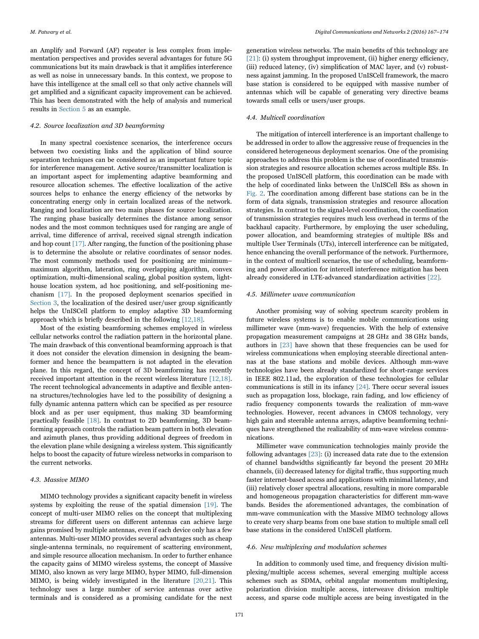an Amplify and Forward (AF) repeater is less complex from implementation perspectives and provides several advantages for future 5G communications but its main drawback is that it amplifies interference as well as noise in unnecessary bands. In this context, we propose to have this intelligence at the small cell so that only active channels will get amplified and a significant capacity improvement can be achieved. This has been demonstrated with the help of analysis and numerical results in [Section 5](#page-5-0) as an example.

# 4.2. Source localization and 3D beamforming

In many spectral coexistence scenarios, the interference occurs between two coexisting links and the application of blind source separation techniques can be considered as an important future topic for interference management. Active source/transmitter localization is an important aspect for implementing adaptive beamforming and resource allocation schemes. The effective localization of the active sources helps to enhance the energy efficiency of the networks by concentrating energy only in certain localized areas of the network. Ranging and localization are two main phases for source localization. The ranging phase basically determines the distance among sensor nodes and the most common techniques used for ranging are angle of arrival, time difference of arrival, received signal strength indication and hop count [\[17\].](#page-7-11) After ranging, the function of the positioning phase is to determine the absolute or relative coordinates of sensor nodes. The most commonly methods used for positioning are minimum– maximum algorithm, lateration, ring overlapping algorithm, convex optimization, multi-dimensional scaling, global position system, lighthouse location system, ad hoc positioning, and self-positioning mechanism [\[17\]](#page-7-11). In the proposed deployment scenarios specified in [Section 3,](#page-3-0) the localization of the desired user/user group significantly helps the UnISCell platform to employ adaptive 3D beamforming approach which is briefly described in the following [\[12,18\]](#page-7-9).

Most of the existing beamforming schemes employed in wireless cellular networks control the radiation pattern in the horizontal plane. The main drawback of this conventional beamforming approach is that it does not consider the elevation dimension in designing the beamformer and hence the beampattern is not adapted in the elevation plane. In this regard, the concept of 3D beamforming has recently received important attention in the recent wireless literature [\[12,18\].](#page-7-9) The recent technological advancements in adaptive and flexible antenna structures/technologies have led to the possibility of designing a fully dynamic antenna pattern which can be specified as per resource block and as per user equipment, thus making 3D beamforming practically feasible [\[18\].](#page-7-12) In contrast to 2D beamforming, 3D beamforming approach controls the radiation beam pattern in both elevation and azimuth planes, thus providing additional degrees of freedom in the elevation plane while designing a wireless system. This significantly helps to boost the capacity of future wireless networks in comparison to the current networks.

# 4.3. Massive MIMO

MIMO technology provides a significant capacity benefit in wireless systems by exploiting the reuse of the spatial dimension [\[19\]](#page-7-13). The concept of multi-user MIMO relies on the concept that multiplexing streams for different users on different antennas can achieve large gains promised by multiple antennas, even if each device only has a few antennas. Multi-user MIMO provides several advantages such as cheap single-antenna terminals, no requirement of scattering environment, and simple resource allocation mechanism. In order to further enhance the capacity gains of MIMO wireless systems, the concept of Massive MIMO, also known as very large MIMO, hyper MIMO, full-dimension MIMO, is being widely investigated in the literature [\[20,21\].](#page-7-14) This technology uses a large number of service antennas over active terminals and is considered as a promising candidate for the next

generation wireless networks. The main benefits of this technology are [\[21\]:](#page-7-15) (i) system throughput improvement, (ii) higher energy efficiency, (iii) reduced latency, (iv) simplification of MAC layer, and (v) robustness against jamming. In the proposed UnISCell framework, the macro base station is considered to be equipped with massive number of antennas which will be capable of generating very directive beams towards small cells or users/user groups.

# 4.4. Multicell coordination

The mitigation of intercell interference is an important challenge to be addressed in order to allow the aggressive reuse of frequencies in the considered heterogeneous deployment scenarios. One of the promising approaches to address this problem is the use of coordinated transmission strategies and resource allocation schemes across multiple BSs. In the proposed UnISCell platform, this coordination can be made with the help of coordinated links between the UnISCell BSs as shown in [Fig. 2.](#page-3-2) The coordination among different base stations can be in the form of data signals, transmission strategies and resource allocation strategies. In contrast to the signal-level coordination, the coordination of transmission strategies requires much less overhead in terms of the backhaul capacity. Furthermore, by employing the user scheduling, power allocation, and beamforming strategies of multiple BSs and multiple User Terminals (UTs), intercell interference can be mitigated, hence enhancing the overall performance of the network. Furthermore, in the context of multicell scenarios, the use of scheduling, beamforming and power allocation for intercell interference mitigation has been already considered in LTE-advanced standardization activities [\[22\].](#page-7-16)

#### 4.5. Millimeter wave communication

Another promising way of solving spectrum scarcity problem in future wireless systems is to enable mobile communications using millimeter wave (mm-wave) frequencies. With the help of extensive propagation measurement campaigns at 28 GHz and 38 GHz bands, authors in [\[23\]](#page-7-17) have shown that these frequencies can be used for wireless communications when employing steerable directional antennas at the base stations and mobile devices. Although mm-wave technologies have been already standardized for short-range services in IEEE 802.11ad, the exploration of these technologies for cellular communications is still in its infancy [\[24\]](#page-7-18). There occur several issues such as propagation loss, blockage, rain fading, and low efficiency of radio frequency components towards the realization of mm-wave technologies. However, recent advances in CMOS technology, very high gain and steerable antenna arrays, adaptive beamforming techniques have strengthened the realizability of mm-wave wireless communications.

Millimeter wave communication technologies mainly provide the following advantages  $[23]$ : (i) increased data rate due to the extension of channel bandwidths significantly far beyond the present 20 MHz channels, (ii) decreased latency for digital traffic, thus supporting much faster internet-based access and applications with minimal latency, and (iii) relatively closer spectral allocations, resulting in more comparable and homogeneous propagation characteristics for different mm-wave bands. Besides the aforementioned advantages, the combination of mm-wave communication with the Massive MIMO technology allows to create very sharp beams from one base station to multiple small cell base stations in the considered UnISCell platform.

#### 4.6. New multiplexing and modulation schemes

In addition to commonly used time, and frequency division multiplexing/multiple access schemes, several emerging multiple access schemes such as SDMA, orbital angular momentum multiplexing, polarization division multiple access, interweave division multiple access, and sparse code multiple access are being investigated in the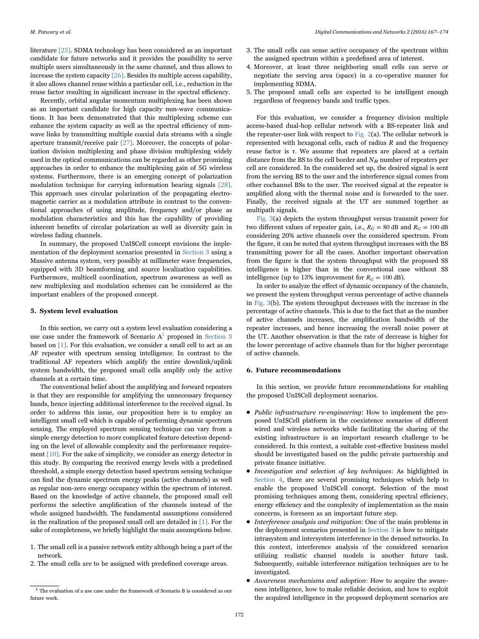literature [\[25\].](#page-7-19) SDMA technology has been considered as an important candidate for future networks and it provides the possibility to serve multiple users simultaneously in the same channel, and thus allows to increase the system capacity [\[26\].](#page-7-20) Besides its multiple access capability, it also allows channel reuse within a particular cell, i.e., reduction in the reuse factor resulting in significant increase in the spectral efficiency.

Recently, orbital angular momentum multiplexing has been shown as an important candidate for high capacity mm-wave communications. It has been demonstrated that this multiplexing scheme can enhance the system capacity as well as the spectral efficiency of mmwave links by transmitting multiple coaxial data streams with a single aperture transmit/receive pair [\[27\].](#page-7-21) Moreover, the concepts of polarization division multiplexing and phase division multiplexing widely used in the optical communications can be regarded as other promising approaches in order to enhance the multiplexing gain of 5G wireless systems. Furthermore, there is an emerging concept of polarization modulation technique for carrying information bearing signals [\[28\].](#page-7-22) This approach uses circular polarization of the propagating electromagnetic carrier as a modulation attribute in contrast to the conventional approaches of using amplitude, frequency and/or phase as modulation characteristics and this has the capability of providing inherent benefits of circular polarization as well as diversity gain in wireless fading channels.

In summary, the proposed UnISCell concept envisions the implementation of the deployment scenarios presented in [Section 3](#page-3-0) using a Massive antenna system, very possibly at millimeter wave frequencies, equipped with 3D beamforming and source localization capabilities. Furthermore, multicell coordination, spectrum awareness as well as new multiplexing and modulation schemes can be considered as the important enablers of the proposed concept.

#### <span id="page-5-0"></span>5. System level evaluation

In this section, we carry out a system level evaluation considering a use case under the framework of Scenario  $A<sup>1</sup>$  proposed in [Section 3](#page-3-0) based on [\[1\].](#page-7-1) For this evaluation, we consider a small cell to act as an AF repeater with spectrum sensing intelligence. In contrast to the traditional AF repeaters which amplify the entire downlink/uplink system bandwidth, the proposed small cells amplify only the active channels at a certain time.

The conventional belief about the amplifying and forward repeaters is that they are responsible for amplifying the unnecessary frequency bands, hence injecting additional interference to the received signal. In order to address this issue, our proposition here is to employ an intelligent small cell which is capable of performing dynamic spectrum sensing. The employed spectrum sensing technique can vary from a simple energy detection to more complicated feature detection depending on the level of allowable complexity and the performance requirement [\[10\].](#page-7-8) For the sake of simplicity, we consider an energy detector in this study. By comparing the received energy levels with a predefined threshold, a simple energy detection based spectrum sensing technique can find the dynamic spectrum energy peaks (active channels) as well as regular non-zero energy occupancy within the spectrum of interest. Based on the knowledge of active channels, the proposed small cell performs the selective amplification of the channels instead of the whole assigned bandwidth. The fundamental assumptions considered in the realization of the proposed small cell are detailed in [\[1\]](#page-7-1). For the sake of completeness, we briefly highlight the main assumptions below.

- 1. The small cell is a passive network entity although being a part of the network.
- 2. The small cells are to be assigned with predefined coverage areas.
- 3. The small cells can sense active occupancy of the spectrum within the assigned spectrum within a predefined area of interest.
- 4. Moreover, at least three neighboring small cells can serve or negotiate the serving area (space) in a co-operative manner for implementing SDMA.
- 5. The proposed small cells are expected to be intelligent enough regardless of frequency bands and traffic types.

For this evaluation, we consider a frequency division multiple access-based dual-hop cellular network with a BS-repeater link and the repeater-user link with respect to [Fig. 2\(](#page-3-2)a). The cellular network is represented with hexagonal cells, each of radius  $R$  and the frequency reuse factor is τ. We assume that repeaters are placed at a certain distance from the BS to the cell border and  $N_R$  number of repeaters per cell are considered. In the considered set up, the desired signal is sent from the serving BS to the user and the interference signal comes from other cochannel BSs to the user. The received signal at the repeater is amplified along with the thermal noise and is forwarded to the user. Finally, the received signals at the UT are summed together as multipath signals.

[Fig. 3\(](#page-6-1)a) depicts the system throughput versus transmit power for two different values of repeater gain, i.e.,  $R_G = 80$  dB and  $R_G = 100$  dB considering 20% active channels over the considered spectrum. From the figure, it can be noted that system throughput increases with the BS transmitting power for all the cases. Another important observation from the figure is that the system throughput with the proposed SS intelligence is higher than in the conventional case without SS intelligence (up to 13% improvement for  $R_G = 100$  dB).

In order to analyze the effect of dynamic occupancy of the channels, we present the system throughput versus percentage of active channels in [Fig. 3](#page-6-1)(b). The system throughput decreases with the increase in the percentage of active channels. This is due to the fact that as the number of active channels increases, the amplification bandwidth of the repeater increases, and hence increasing the overall noise power at the UT. Another observation is that the rate of decrease is higher for the lower percentage of active channels than for the higher percentage of active channels.

# <span id="page-5-1"></span>6. Future recommendations

In this section, we provide future recommendations for enabling the proposed UnISCell deployment scenarios.

- Public infrastructure re-engineering: How to implement the proposed UnISCell platform in the coexistence scenarios of different wired and wireless networks while facilitating the sharing of the existing infrastructure is an important research challenge to be considered. In this context, a suitable cost-effective business model should be investigated based on the public private partnership and private finance initiative.
- Investigation and selection of key techniques: As highlighted in [Section 4](#page-3-1), there are several promising techniques which help to enable the proposed UnISCell concept. Selection of the most promising techniques among them, considering spectral efficiency, energy efficiency and the complexity of implementation as the main concerns, is foreseen as an important future step.
- Interference analysis and mitigation: One of the main problems in the deployment scenarios presented in [Section 3](#page-3-0) is how to mitigate intrasystem and intersystem interference in the densed networks. In this context, interference analysis of the considered scenarios utilizing realistic channel models is another future task. Subsequently, suitable interference mitigation techniques are to be investigated.
- Awareness mechanisms and adoption: How to acquire the awareness intelligence, how to make reliable decision, and how to exploit the acquired intelligence in the proposed deployment scenarios are

<span id="page-5-2"></span> $^{\rm 1}$  The evaluation of a use case under the framework of Scenario B is considered as our future work.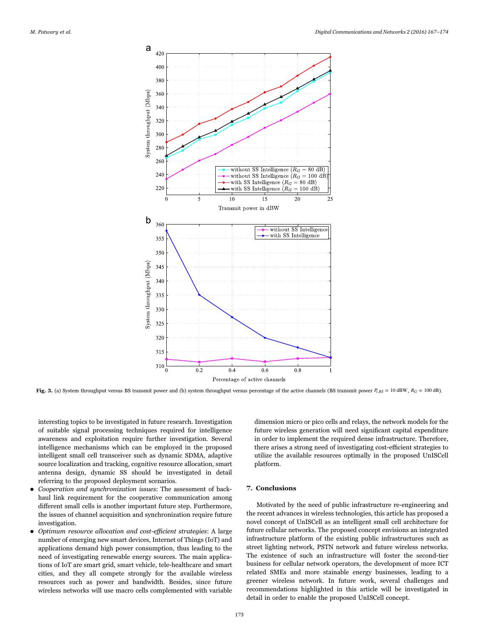<span id="page-6-1"></span>

Fig. 3. (a) System throughput versus BS transmit power and (b) system throughput versus percentage of the active channels (BS transmit power  $P_{i,BS} = 10$  dBW,  $R_G = 100$  dB).

interesting topics to be investigated in future research. Investigation of suitable signal processing techniques required for intelligence awareness and exploitation require further investigation. Several intelligence mechanisms which can be employed in the proposed intelligent small cell transceiver such as dynamic SDMA, adaptive source localization and tracking, cognitive resource allocation, smart antenna design, dynamic SS should be investigated in detail referring to the proposed deployment scenarios.

- Cooperation and synchronization issues: The assessment of backhaul link requirement for the cooperative communication among different small cells is another important future step. Furthermore, the issues of channel acquisition and synchronization require future investigation.
- Optimum resource allocation and cost-efficient strategies: A large number of emerging new smart devices, Internet of Things (IoT) and applications demand high power consumption, thus leading to the need of investigating renewable energy sources. The main applications of IoT are smart grid, smart vehicle, tele-healthcare and smart cities, and they all compete strongly for the available wireless resources such as power and bandwidth. Besides, since future wireless networks will use macro cells complemented with variable

dimension micro or pico cells and relays, the network models for the future wireless generation will need significant capital expenditure in order to implement the required dense infrastructure. Therefore, there arises a strong need of investigating cost-efficient strategies to utilize the available resources optimally in the proposed UnISCell platform.

# <span id="page-6-0"></span>7. Conclusions

Motivated by the need of public infrastructure re-engineering and the recent advances in wireless technologies, this article has proposed a novel concept of UnISCell as an intelligent small cell architecture for future cellular networks. The proposed concept envisions an integrated infrastructure platform of the existing public infrastructures such as street lighting network, PSTN network and future wireless networks. The existence of such an infrastructure will foster the second-tier business for cellular network operators, the development of more ICT related SMEs and more stainable energy businesses, leading to a greener wireless network. In future work, several challenges and recommendations highlighted in this article will be investigated in detail in order to enable the proposed UnISCell concept.